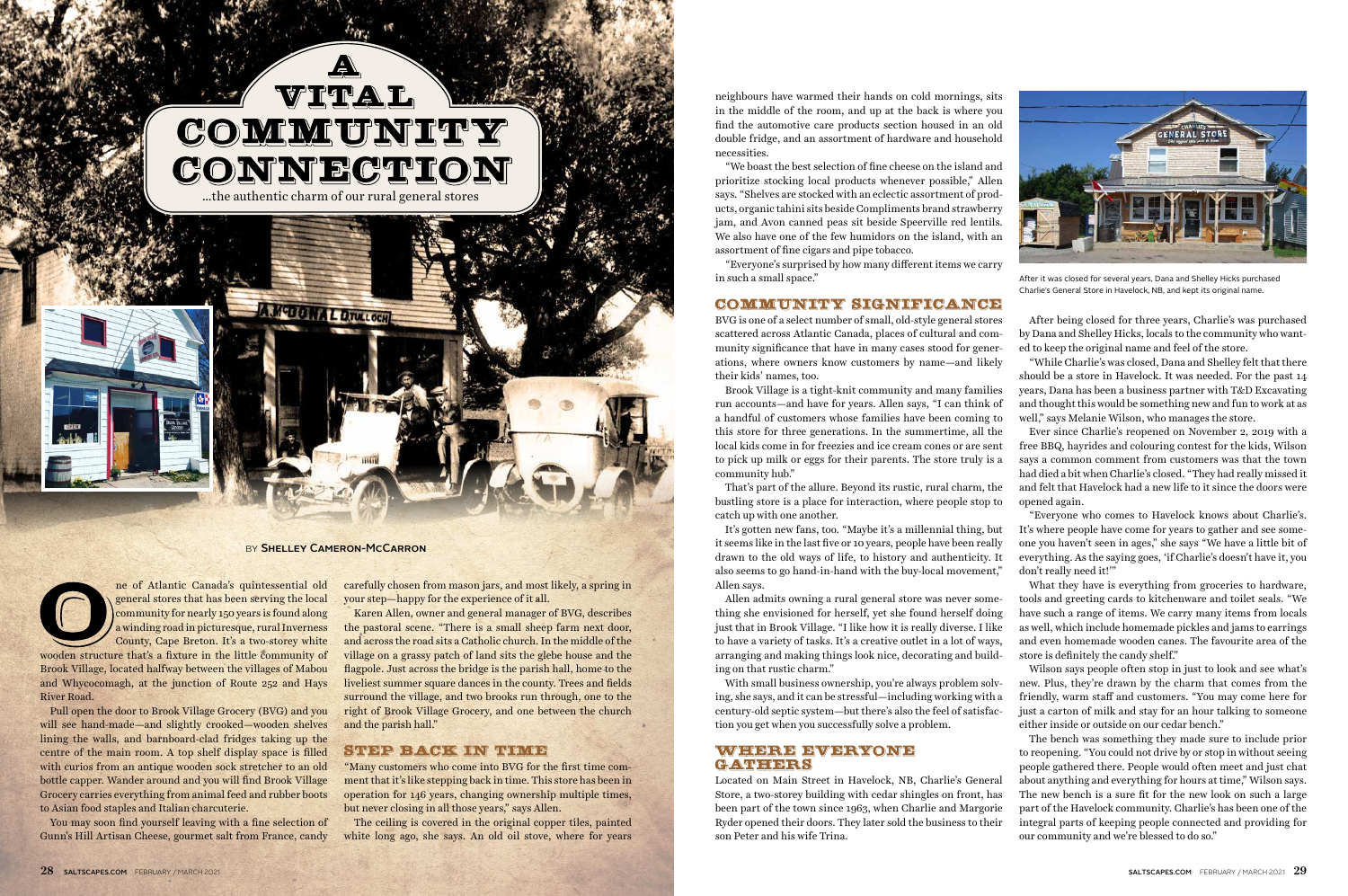carefully chosen from mason jars, and most likely, a spring in your step—happy for the experience of it all.

Karen Allen, owner and general manager of BVG, describes the pastoral scene. "There is a small sheep farm next door, and across the road sits a Catholic church. In the middle of the village on a grassy patch of land sits the glebe house and the flagpole. Just across the bridge is the parish hall, home to the liveliest summer square dances in the county. Trees and fields surround the village, and two brooks run through, one to the right of Brook Village Grocery, and one between the church and the parish hall."

#### **STEP BACK IN TIME**

"Many customers who come into BVG for the first time comment that it's like stepping back in time. This store has been in operation for 146 years, changing ownership multiple times, but never closing in all those years," says Allen.

The ceiling is covered in the original copper tiles, painted white long ago, she says. An old oil stove, where for years neighbours have warmed their hands on cold mornings, sits in the middle of the room, and up at the back is where you find the automotive care products section housed in an old double fridge, and an assortment of hardware and household necessities.

"We boast the best selection of fine cheese on the island and prioritize stocking local products whenever possible," Allen says. "Shelves are stocked with an eclectic assortment of products, organic tahini sits beside Compliments brand strawberry jam, and Avon canned peas sit beside Speerville red lentils. We also have one of the few humidors on the island, with an assortment of fine cigars and pipe tobacco.

"Everyone's surprised by how many different items we carry in such a small space."

## COMMUNITY SIGNIFICANCE

BVG is one of a select number of small, old-style general stores scattered across Atlantic Canada, places of cultural and community significance that have in many cases stood for generations, where owners know customers by name—and likely their kids' names, too.

Brook Village is a tight-knit community and many families run accounts—and have for years. Allen says, "I can think of a handful of customers whose families have been coming to this store for three generations. In the summertime, all the local kids come in for freezies and ice cream cones or are sent to pick up milk or eggs for their parents. The store truly is a community hub."

That's part of the allure. Beyond its rustic, rural charm, the bustling store is a place for interaction, where people stop to catch up with one another.

It's gotten new fans, too. "Maybe it's a millennial thing, but it seems like in the last five or 10 years, people have been really drawn to the old ways of life, to history and authenticity. It also seems to go hand-in-hand with the buy-local movement," Allen says.

Allen admits owning a rural general store was never something she envisioned for herself, yet she found herself doing just that in Brook Village. "I like how it is really diverse. I like to have a variety of tasks. It's a creative outlet in a lot of ways, arranging and making things look nice, decorating and building on that rustic charm."

With small business ownership, you're always problem solving, she says, and it can be stressful—including working with a century-old septic system—but there's also the feel of satisfaction you get when you successfully solve a problem.

## WHERE EVERYONE **CATTERRS**

Located on Main Street in Havelock, NB, Charlie's General Store, a two-storey building with cedar shingles on front, has been part of the town since 1963, when Charlie and Margorie Ryder opened their doors. They later sold the business to their son Peter and his wife Trina.

After being closed for three years, Charlie's was purchased by Dana and Shelley Hicks, locals to the community who wanted to keep the original name and feel of the store.

"While Charlie's was closed, Dana and Shelley felt that there should be a store in Havelock. It was needed. For the past 14 years, Dana has been a business partner with T&D Excavating and thought this would be something new and fun to work at as well," says Melanie Wilson, who manages the store.

Ever since Charlie's reopened on November 2, 2019 with a free BBQ, hayrides and colouring contest for the kids, Wilson says a common comment from customers was that the town had died a bit when Charlie's closed. "They had really missed it and felt that Havelock had a new life to it since the doors were opened again.

"Everyone who comes to Havelock knows about Charlie's. It's where people have come for years to gather and see someone you haven't seen in ages," she says "We have a little bit of everything. As the saying goes, 'if Charlie's doesn't have it, you don't really need it!'" What they have is everything from groceries to hardware, tools and greeting cards to kitchenware and toilet seals. "We have such a range of items. We carry many items from locals as well, which include homemade pickles and jams to earrings and even homemade wooden canes. The favourite area of the store is definitely the candy shelf."

Wilson says people often stop in just to look and see what's new. Plus, they're drawn by the charm that comes from the friendly, warm staff and customers. "You may come here for just a carton of milk and stay for an hour talking to someone either inside or outside on our cedar bench."

The bench was something they made sure to include prior to reopening. "You could not drive by or stop in without seeing people gathered there. People would often meet and just chat about anything and everything for hours at time," Wilson says. The new bench is a sure fit for the new look on such a large part of the Havelock community. Charlie's has been one of the integral parts of keeping people connected and providing for our community and we're blessed to do so."

ne of Atlantic Canada's quintessential old general stores that has been serving the local community for nearly 150 years is found along a winding road in picturesque, rural Inverness County, Cape Breton. It's a two-storey white

wooden structure that's a fixture in the little community of Brook Village, located halfway between the villages of Mabou and Whycocomagh, at the junction of Route 252 and Hays River Road.

Pull open the door to Brook Village Grocery (BVG) and you will see hand-made—and slightly crooked—wooden shelves lining the walls, and barnboard-clad fridges taking up the centre of the main room. A top shelf display space is filled with curios from an antique wooden sock stretcher to an old bottle capper. Wander around and you will find Brook Village Grocery carries everything from animal feed and rubber boots to Asian food staples and Italian charcuterie.

You may soon find yourself leaving with a fine selection of Gunn's Hill Artisan Cheese, gourmet salt from France, candy



After it was closed for several years, Dana and Shelley Hicks purchased Charlie's General Store in Havelock, NB, and kept its original name.





#### BY SHELLEY CAMERON-MCCARRON